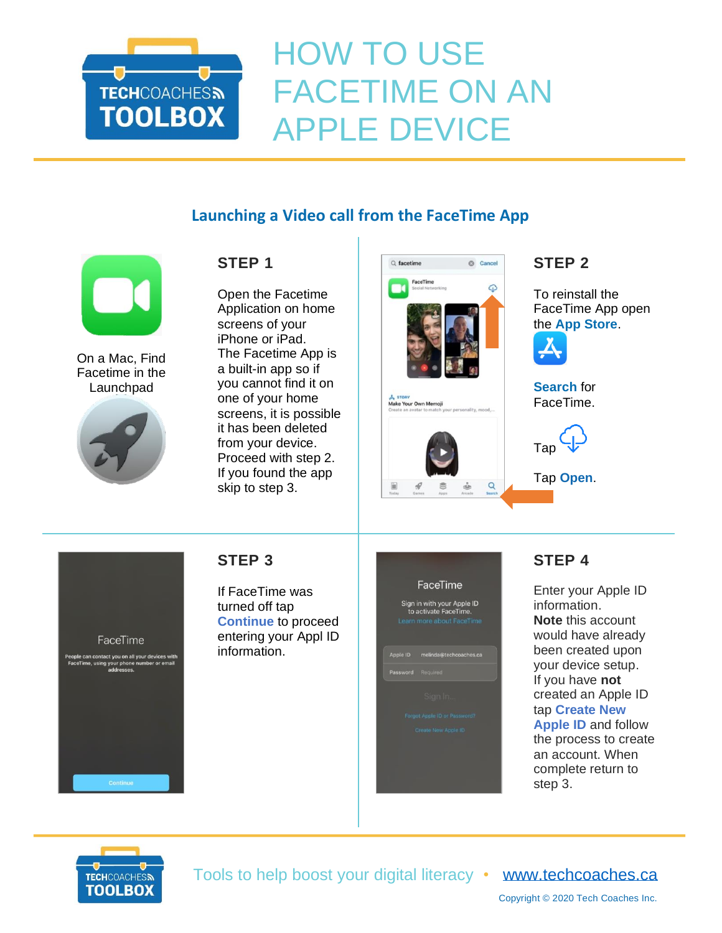

# HOW TO USE FACETIME ON AN APPLE DEVICE

# **Launching a Video call from the FaceTime App**



On a Mac, Find Facetime in the Launchpad



### **STEP 1**

Open the Facetime Application on home screens of your iPhone or iPad. The Facetime App is a built-in app so if you cannot find it on one of your home screens, it is possible it has been deleted from your device. Proceed with step 2. If you found the app skip to step 3.



#### **STEP 2**

To reinstall the FaceTime App open the **App Store**.



**Search** for FaceTime.



Tap **Open**.



#### **STEP 3**

If FaceTime was turned off tap **Continue** to proceed entering your Appl ID information.

| FaceTime<br>Sign in with your Apple ID<br>to activate FaceTime.<br>Learn more about FaceTime |                        |  |  |
|----------------------------------------------------------------------------------------------|------------------------|--|--|
| Apple ID                                                                                     | melinda@techcoaches.ca |  |  |
| Password                                                                                     | Required               |  |  |
|                                                                                              | Sign In.               |  |  |
| Forgot Apple ID or Password?                                                                 |                        |  |  |
|                                                                                              | Create New Apple ID    |  |  |
|                                                                                              |                        |  |  |
|                                                                                              |                        |  |  |
|                                                                                              |                        |  |  |

## **STEP 4**

Enter your Apple ID information. **Note** this account would have already been created upon your device setup. If you have **not** created an Apple ID tap **Create New Apple ID** and follow the process to create an account. When complete return to step 3.



Tools to help boost your digital literacy • [www.techcoaches.ca](http://www.techcoaches.ca/)

Copyright © 2020 Tech Coaches Inc.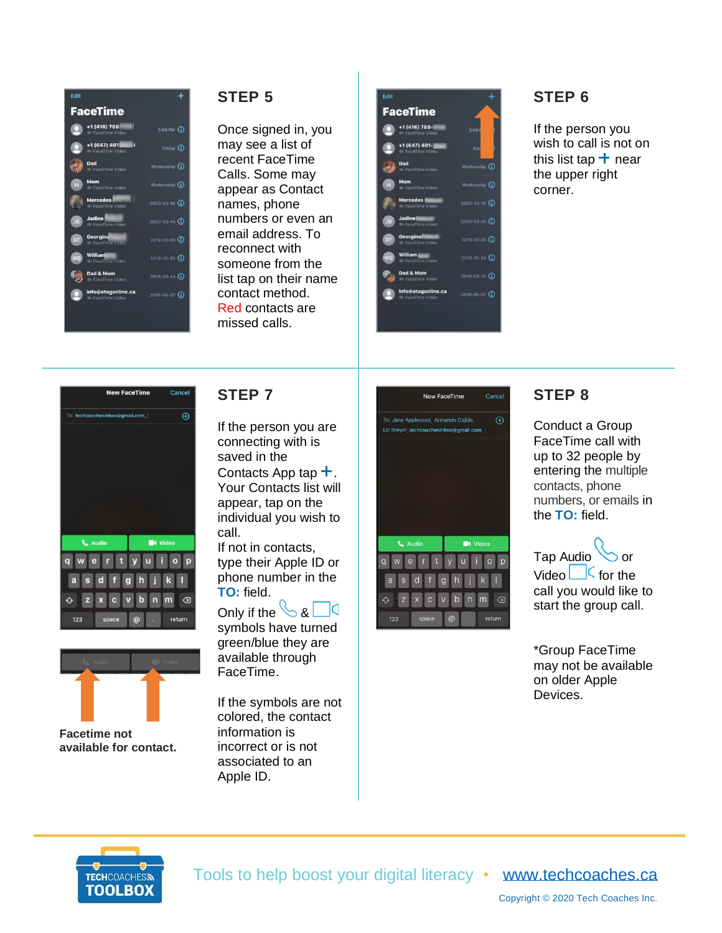| Edit                                                |                      |
|-----------------------------------------------------|----------------------|
| <b>FaceTime</b>                                     |                      |
| +1 (416) 788<br><b>III FaceTime Video</b>           | $3:09P$ $\Omega$     |
| +1 (647) 401<br>п<br><b>III FaceTime Video</b>      | Friday $(i)$         |
| Dad<br><b>III</b> FaceTime Video                    | Wednesday $(i)$      |
| Mom<br>M<br><b>III</b> FaceTime Video               | Wednesday (i)        |
| <b>Mercedes</b><br><b>III</b> FaceTime Video        | $2020 - 02 - 15$ (1) |
| Jadine<br>J <sub>B</sub><br><b>B</b> FaceTime Video | $2020 - 02 - 16$ (i) |
| Georgina<br><b>GT</b><br><b>B</b> FaceTime video    | $2019 - 12 - 24$ (i) |
| William<br>WG<br><b>III</b> FaceTime Video          | $2019 - 12 - 24$ (i) |
| Dad & Mom<br><b>E</b> FaceTime Video                | $2019 - 09 - 14$ (i) |
| info@etagonline.ca<br><b>B</b> FaceTime Video       | $2019 - 06 - 07$ (1) |
|                                                     |                      |
|                                                     |                      |

#### **STEP 5**

Once signed in, you may see a list of recent FaceTime Calls. Some may appear as Contact names, phone numbers or even an email address. To reconnect with someone from the list tap on their name contact method. Red contacts are missed calls.

| есис      |                                               |                      |
|-----------|-----------------------------------------------|----------------------|
|           | <b>FaceTime</b>                               |                      |
|           | +1 (416) 788-<br><b>III</b> FaceTime Video    | 3:09F                |
|           | +1 (647) 401-<br><b>III FaceTime Video</b>    | Fri                  |
|           | Dad<br><b>III</b> FaceTime Video              | Wednesday (1)        |
| M         | Mom<br><b>B</b> FaceTime Video                | Wednesday (1)        |
|           | <b>Mercedes</b><br><b>B</b> FaceTime Video    | $2020 - 02 - 15$ (1) |
| <b>JB</b> | <b>Jadine</b><br><b>B</b> FaceTime Video      | $2020 - 02 - 16$ (i) |
| GT        | Georgina<br><b>III</b> FaceTime Video         | $2019 - 12 - 24$ (i) |
| <b>WG</b> | William<br><b>II</b> I FaceTime Video         | $2019 - 12 - 24$ (i) |
|           | Dad & Mom<br><b>III</b> FaceTime Video        | $2019 - 09 - 14$ (1) |
|           | info@etagonline.ca<br><b>B</b> FaceTime Video | $2019 - 06 - 07$ (1) |
|           |                                               |                      |
|           |                                               |                      |

### **STEP 6**

If the person you wish to call is not on this list tap  $+$  near the upper right corner.





**Facetime not available for contact.**

#### **STEP 7**

If the person you are connecting with is saved in the Contacts App tap  $+$ . Your Contacts list will appear, tap on the individual you wish to call.

If not in contacts, type their Apple ID or phone number in the **TO:** field.

Only if the  $\mathcal{S}$  & - Id

symbols have turned green/blue they are available through FaceTime.

If the symbols are not colored, the contact information is incorrect or is not associated to an Apple ID.



#### **STEP 8**

Conduct a Group FaceTime call with up to 32 people by entering the multiple contacts, phone numbers, or emails in the **TO:** field.



\*Group FaceTime may not be available on older Apple Devices.



Tools to help boost your digital literacy • [www.techcoaches.ca](http://www.techcoaches.ca/)

Copyright © 2020 Tech Coaches Inc.